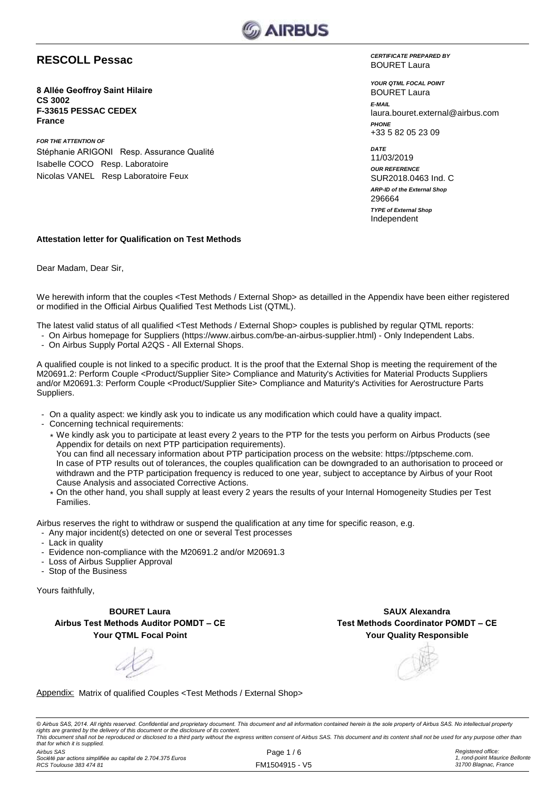

### **RESCOLL Pessac**

**8 Allée Geoffroy Saint Hilaire CS 3002 F-33615 PESSAC CEDEX France**

*FOR THE ATTENTION OF* Stéphanie ARIGONI Resp. Assurance Qualité Isabelle COCO Resp. Laboratoire Nicolas VANEL Resp Laboratoire Feux

*CERTIFICATE PREPARED BY* BOURET Laura

*YOUR QTML FOCAL POINT E-MAIL* laura.bouret.external@airbus.com *PHONE* +33 5 82 05 23 09 BOURET Laura

*ARP-ID of the External Shop DATE* 11/03/2019 *OUR REFERENCE* SUR2018.0463 Ind. C Independent 296664 *TYPE of External Shop*

#### **Attestation letter for Qualification on Test Methods**

Dear Madam, Dear Sir,

We herewith inform that the couples <Test Methods / External Shop> as detailled in the Appendix have been either registered or modified in the Official Airbus Qualified Test Methods List (QTML).

The latest valid status of all qualified <Test Methods / External Shop> couples is published by regular QTML reports:

- On Airbus homepage for Suppliers (https://www.airbus.com/be-an-airbus-supplier.html) Only Independent Labs.
- On Airbus Supply Portal A2QS All External Shops.

A qualified couple is not linked to a specific product. It is the proof that the External Shop is meeting the requirement of the M20691.2: Perform Couple <Product/Supplier Site> Compliance and Maturity's Activities for Material Products Suppliers and/or M20691.3: Perform Couple <Product/Supplier Site> Compliance and Maturity's Activities for Aerostructure Parts Suppliers.

- On a quality aspect: we kindly ask you to indicate us any modification which could have a quality impact.
- Concerning technical requirements:
	- \* We kindly ask you to participate at least every 2 years to the PTP for the tests you perform on Airbus Products (see Appendix for details on next PTP participation requirements). You can find all necessary information about PTP participation process on the website: https://ptpscheme.com. In case of PTP results out of tolerances, the couples qualification can be downgraded to an authorisation to proceed or withdrawn and the PTP participation frequency is reduced to one year, subject to acceptance by Airbus of your Root Cause Analysis and associated Corrective Actions.
	- \* On the other hand, you shall supply at least every 2 years the results of your Internal Homogeneity Studies per Test Families.

Airbus reserves the right to withdraw or suspend the qualification at any time for specific reason, e.g.

- Any major incident(s) detected on one or several Test processes
- Lack in quality
- Evidence non-compliance with the M20691.2 and/or M20691.3
- Loss of Airbus Supplier Approval
- Stop of the Business

Yours faithfully,

**BOURET Laura Airbus Test Methods Auditor POMDT – CE Your QTML Focal Point**

**Your Quality Responsible SAUX Alexandra Test Methods Coordinator POMDT – CE**

### Appendix: Matrix of qualified Couples <Test Methods / External Shop>

© Airbus SAS, 2014. All rights reserved. Confidential and proprietary document. This document and all information contained herein is the sole property of Airbus SAS. No intellectual property rights are granted by the delivery of this document or the disclosure of its content.<br>This document shall not be reproduced or disclosed to a third party without the express written consent of Airbus SAS. This document and *that for which it is supplied.*

*Airbus SAS Société par actions simplifiée au capital de 2.704.375 Euros RCS Toulouse 383 474 81*

Page 1 / 6 FM1504915 - V5 *Registered office: 1, rond-point Maurice Bellonte 31700 Blagnac, France*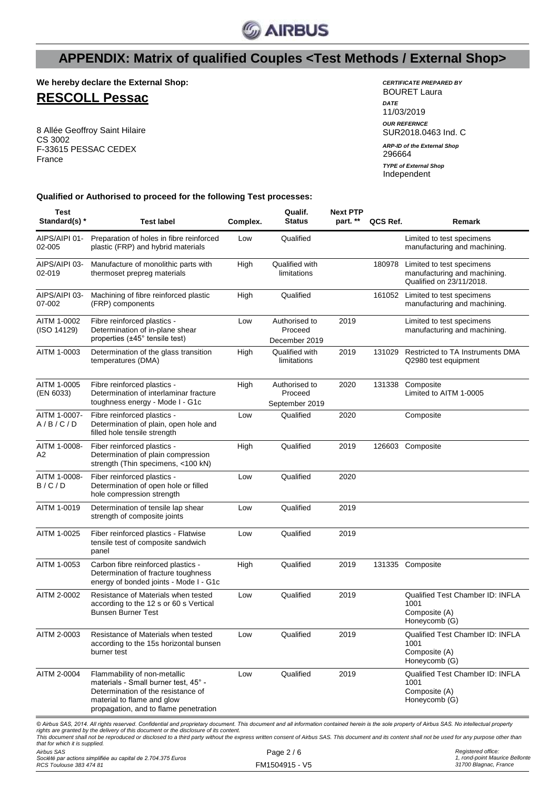

**We hereby declare the External Shop:**

## **RESCOLL Pessac**

8 Allée Geoffroy Saint Hilaire CS 3002 F-33615 PESSAC CEDEX France

| <b>CERTIFICATE PREPARED BY</b><br>BOURET Laura |
|------------------------------------------------|
| <b>DATE</b><br>11/03/2019                      |
| <b>OUR REFERNCE</b><br>SUR2018.0463 Ind. C     |
| <b>ARP-ID of the External Shop</b><br>296664   |
| <b>TYPE of External Shop</b><br>Independent    |

**Qualified or Authorised to proceed for the following Test processes:**

| <b>Test</b><br>Standard(s) * | <b>Test label</b>                                                                                                                                                                               | Complex. | Qualif.<br><b>Status</b>                   | <b>Next PTP</b><br>part. ** | QCS Ref. | Remark                                                                                |
|------------------------------|-------------------------------------------------------------------------------------------------------------------------------------------------------------------------------------------------|----------|--------------------------------------------|-----------------------------|----------|---------------------------------------------------------------------------------------|
| AIPS/AIPI 01-<br>02-005      | Preparation of holes in fibre reinforced<br>plastic (FRP) and hybrid materials                                                                                                                  | Low      | Qualified                                  |                             |          | Limited to test specimens<br>manufacturing and machining.                             |
| AIPS/AIPI 03-<br>02-019      | Manufacture of monolithic parts with<br>thermoset prepreg materials                                                                                                                             | High     | Qualified with<br>limitations              |                             | 180978   | Limited to test specimens<br>manufacturing and machining.<br>Qualified on 23/11/2018. |
| AIPS/AIPI 03-<br>07-002      | Machining of fibre reinforced plastic<br>(FRP) components                                                                                                                                       | High     | Qualified                                  |                             | 161052   | Limited to test specimens<br>manufacturing and machining.                             |
| AITM 1-0002<br>(ISO 14129)   | Fibre reinforced plastics -<br>Determination of in-plane shear<br>properties (±45° tensile test)                                                                                                | Low      | Authorised to<br>Proceed<br>December 2019  | 2019                        |          | Limited to test specimens<br>manufacturing and machining.                             |
| AITM 1-0003                  | Determination of the glass transition<br>temperatures (DMA)                                                                                                                                     | High     | Qualified with<br>limitations              | 2019                        | 131029   | Restricted to TA Instruments DMA<br>Q2980 test equipment                              |
| AITM 1-0005<br>(EN 6033)     | Fibre reinforced plastics -<br>Determination of interlaminar fracture<br>toughness energy - Mode I - G1c                                                                                        | High     | Authorised to<br>Proceed<br>September 2019 | 2020                        | 131338   | Composite<br>Limited to AITM 1-0005                                                   |
| AITM 1-0007-<br>A/B/C/D      | Fibre reinforced plastics -<br>Determination of plain, open hole and<br>filled hole tensile strength                                                                                            | Low      | Qualified                                  | 2020                        |          | Composite                                                                             |
| AITM 1-0008-<br>A2           | Fiber reinforced plastics -<br>Determination of plain compression<br>strength (Thin specimens, <100 kN)                                                                                         | High     | Qualified                                  | 2019                        |          | 126603 Composite                                                                      |
| AITM 1-0008-<br>B/C/D        | Fiber reinforced plastics -<br>Determination of open hole or filled<br>hole compression strength                                                                                                | Low      | Qualified                                  | 2020                        |          |                                                                                       |
| AITM 1-0019                  | Determination of tensile lap shear<br>strength of composite joints                                                                                                                              | Low      | Qualified                                  | 2019                        |          |                                                                                       |
| AITM 1-0025                  | Fiber reinforced plastics - Flatwise<br>tensile test of composite sandwich<br>panel                                                                                                             | Low      | Qualified                                  | 2019                        |          |                                                                                       |
| AITM 1-0053                  | Carbon fibre reinforced plastics -<br>Determination of fracture toughness<br>energy of bonded joints - Mode I - G1c                                                                             | High     | Qualified                                  | 2019                        |          | 131335 Composite                                                                      |
| AITM 2-0002                  | Resistance of Materials when tested<br>according to the 12 s or 60 s Vertical<br><b>Bunsen Burner Test</b>                                                                                      | Low      | Qualified                                  | 2019                        |          | Qualified Test Chamber ID: INFLA<br>1001<br>Composite (A)<br>Honeycomb (G)            |
| AITM 2-0003                  | Resistance of Materials when tested<br>according to the 15s horizontal bunsen<br>burner test                                                                                                    | Low      | Qualified                                  | 2019                        |          | Qualified Test Chamber ID: INFLA<br>1001<br>Composite (A)<br>Honeycomb (G)            |
| AITM 2-0004                  | Flammability of non-metallic<br>materials - Small burner test, 45° -<br>Determination of the resistance of<br>material to flame and glow<br>propagation, and to flame penetration               | Low      | Qualified                                  | 2019                        |          | Qualified Test Chamber ID: INFLA<br>1001<br>Composite (A)<br>Honeycomb (G)            |
|                              | © Airbus SAS, 2014. All rights reserved. Confidential and proprietary document. This document and all information contained herein is the sole property of Airbus SAS. No intellectual property |          |                                            |                             |          |                                                                                       |

© Airbus SAS, 2014. All rights reserved. Confidential and proprietary document. This document and all information contained herein is the sole property of Airbus SAS. No intellectual property<br>rights are granted by the deli *that for which it is supplied.*

*Airbus SAS*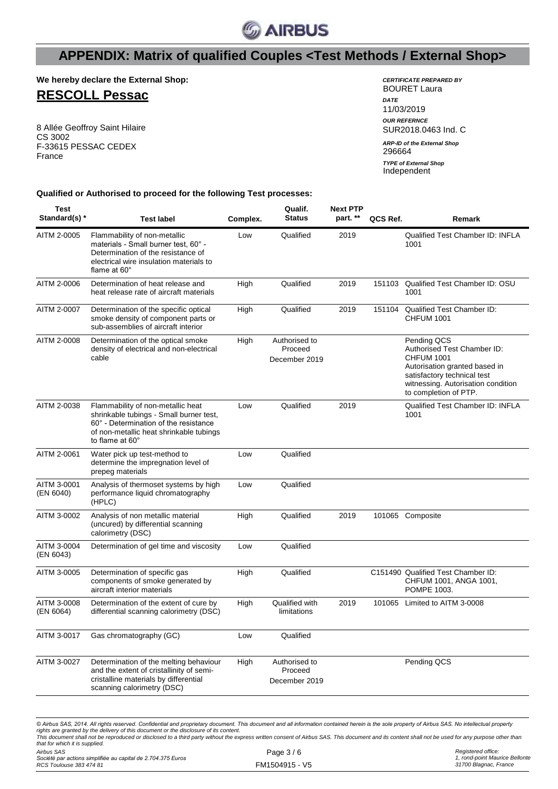

**We hereby declare the External Shop:**

## **RESCOLL Pessac**

8 Allée Geoffroy Saint Hilaire CS 3002 F-33615 PESSAC CEDEX France

| <b>CERTIFICATE PREPARED BY</b><br>BOURET Laura |
|------------------------------------------------|
| <b>DATF</b><br>11/03/2019                      |
| <b>OUR REFERNCE</b><br>SUR2018.0463 Ind. C     |
| <b>ARP-ID of the External Shop</b><br>296664   |
| <b>TYPE of External Shop</b><br>Independent    |

### **Qualified or Authorised to proceed for the following Test processes:**

| Test<br>Standard(s) *          | <b>Test label</b>                                                                                                                                                                                                                                                                                                                                                                                                                                                                             | Complex. | Qualif.<br><b>Status</b>                  | <b>Next PTP</b><br>part. ** | QCS Ref. | Remark                                                                                                                                                                                         |
|--------------------------------|-----------------------------------------------------------------------------------------------------------------------------------------------------------------------------------------------------------------------------------------------------------------------------------------------------------------------------------------------------------------------------------------------------------------------------------------------------------------------------------------------|----------|-------------------------------------------|-----------------------------|----------|------------------------------------------------------------------------------------------------------------------------------------------------------------------------------------------------|
| AITM 2-0005                    | Flammability of non-metallic<br>materials - Small burner test, 60° -<br>Determination of the resistance of<br>electrical wire insulation materials to<br>flame at $60^\circ$                                                                                                                                                                                                                                                                                                                  | Low      | Qualified                                 | 2019                        |          | Qualified Test Chamber ID: INFLA<br>1001                                                                                                                                                       |
| AITM 2-0006                    | Determination of heat release and<br>heat release rate of aircraft materials                                                                                                                                                                                                                                                                                                                                                                                                                  | High     | Qualified                                 | 2019                        | 151103   | Qualified Test Chamber ID: OSU<br>1001                                                                                                                                                         |
| AITM 2-0007                    | Determination of the specific optical<br>smoke density of component parts or<br>sub-assemblies of aircraft interior                                                                                                                                                                                                                                                                                                                                                                           | High     | Qualified                                 | 2019                        | 151104   | Qualified Test Chamber ID:<br><b>CHFUM 1001</b>                                                                                                                                                |
| AITM 2-0008                    | Determination of the optical smoke<br>density of electrical and non-electrical<br>cable                                                                                                                                                                                                                                                                                                                                                                                                       | High     | Authorised to<br>Proceed<br>December 2019 |                             |          | Pending QCS<br>Authorised Test Chamber ID:<br><b>CHFUM 1001</b><br>Autorisation granted based in<br>satisfactory technical test<br>witnessing. Autorisation condition<br>to completion of PTP. |
| AITM 2-0038                    | Flammability of non-metallic heat<br>shrinkable tubings - Small burner test,<br>60° - Determination of the resistance<br>of non-metallic heat shrinkable tubings<br>to flame at 60°                                                                                                                                                                                                                                                                                                           | Low      | Qualified                                 | 2019                        |          | Qualified Test Chamber ID: INFLA<br>1001                                                                                                                                                       |
| AITM 2-0061                    | Water pick up test-method to<br>determine the impregnation level of<br>prepeg materials                                                                                                                                                                                                                                                                                                                                                                                                       | Low      | Qualified                                 |                             |          |                                                                                                                                                                                                |
| AITM 3-0001<br>(EN 6040)       | Analysis of thermoset systems by high<br>performance liquid chromatography<br>(HPLC)                                                                                                                                                                                                                                                                                                                                                                                                          | Low      | Qualified                                 |                             |          |                                                                                                                                                                                                |
| AITM 3-0002                    | Analysis of non metallic material<br>(uncured) by differential scanning<br>calorimetry (DSC)                                                                                                                                                                                                                                                                                                                                                                                                  | High     | Qualified                                 | 2019                        |          | 101065 Composite                                                                                                                                                                               |
| AITM 3-0004<br>(EN 6043)       | Determination of gel time and viscosity                                                                                                                                                                                                                                                                                                                                                                                                                                                       | Low      | Qualified                                 |                             |          |                                                                                                                                                                                                |
| AITM 3-0005                    | Determination of specific gas<br>components of smoke generated by<br>aircraft interior materials                                                                                                                                                                                                                                                                                                                                                                                              | High     | Qualified                                 |                             |          | C151490 Qualified Test Chamber ID:<br>CHFUM 1001, ANGA 1001,<br>POMPE 1003.                                                                                                                    |
| AITM 3-0008<br>(EN 6064)       | Determination of the extent of cure by<br>differential scanning calorimetry (DSC)                                                                                                                                                                                                                                                                                                                                                                                                             | High     | Qualified with<br>limitations             | 2019                        | 101065   | Limited to AITM 3-0008                                                                                                                                                                         |
| AITM 3-0017                    | Gas chromatography (GC)                                                                                                                                                                                                                                                                                                                                                                                                                                                                       | Low      | Qualified                                 |                             |          |                                                                                                                                                                                                |
| AITM 3-0027                    | Determination of the melting behaviour<br>and the extent of cristallinity of semi-<br>cristalline materials by differential<br>scanning calorimetry (DSC)                                                                                                                                                                                                                                                                                                                                     | High     | Authorised to<br>Proceed<br>December 2019 |                             |          | Pending QCS                                                                                                                                                                                    |
|                                |                                                                                                                                                                                                                                                                                                                                                                                                                                                                                               |          |                                           |                             |          |                                                                                                                                                                                                |
| that for which it is supplied. | © Airbus SAS, 2014. All rights reserved. Confidential and proprietary document. This document and all information contained herein is the sole property of Airbus SAS. No intellectual property<br>rights are granted by the delivery of this document or the disclosure of its content.<br>This document shall not be reproduced or disclosed to a third party without the express written consent of Airbus SAS. This document and its content shall not be used for any purpose other than |          |                                           |                             |          |                                                                                                                                                                                                |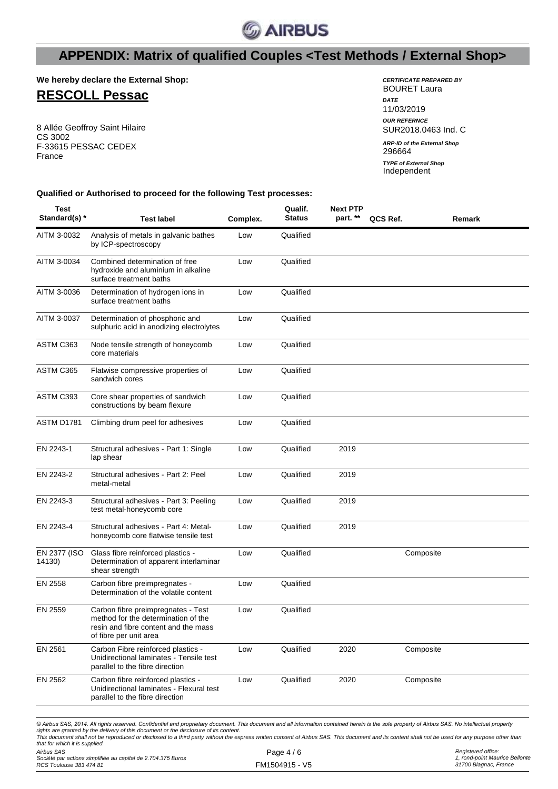

**We hereby declare the External Shop:**

### **RESCOLL Pessac**

8 Allée Geoffroy Saint Hilaire CS 3002 F-33615 PESSAC CEDEX France

| <b>CERTIFICATE PREPARED BY</b><br>BOURET Laura |
|------------------------------------------------|
| <b>DATE</b><br>11/03/2019                      |
| <b>OUR REFERNCE</b><br>SUR2018.0463 Ind. C     |
| <b>ARP-ID of the External Shop</b><br>296664   |
| <b>TYPE of External Shop</b><br>Independent    |

**Qualified or Authorised to proceed for the following Test processes:**

| Test<br>Standard(s) *  | <b>Test label</b>                                                                                                                           | Complex. | Qualif.<br><b>Status</b> | <b>Next PTP</b><br>part. ** | QCS Ref.  | Remark |
|------------------------|---------------------------------------------------------------------------------------------------------------------------------------------|----------|--------------------------|-----------------------------|-----------|--------|
| AITM 3-0032            | Analysis of metals in galvanic bathes<br>by ICP-spectroscopy                                                                                | Low      | Qualified                |                             |           |        |
| AITM 3-0034            | Combined determination of free<br>hydroxide and aluminium in alkaline<br>surface treatment baths                                            | Low      | Qualified                |                             |           |        |
| AITM 3-0036            | Determination of hydrogen ions in<br>surface treatment baths                                                                                | Low      | Qualified                |                             |           |        |
| AITM 3-0037            | Determination of phosphoric and<br>sulphuric acid in anodizing electrolytes                                                                 | Low      | Qualified                |                             |           |        |
| ASTM C363              | Node tensile strength of honeycomb<br>core materials                                                                                        | Low      | Qualified                |                             |           |        |
| ASTM C365              | Flatwise compressive properties of<br>sandwich cores                                                                                        | Low      | Qualified                |                             |           |        |
| ASTM C393              | Core shear properties of sandwich<br>constructions by beam flexure                                                                          | Low      | Qualified                |                             |           |        |
| <b>ASTM D1781</b>      | Climbing drum peel for adhesives                                                                                                            | Low      | Qualified                |                             |           |        |
| EN 2243-1              | Structural adhesives - Part 1: Single<br>lap shear                                                                                          | Low      | Qualified                | 2019                        |           |        |
| EN 2243-2              | Structural adhesives - Part 2: Peel<br>metal-metal                                                                                          | Low      | Qualified                | 2019                        |           |        |
| EN 2243-3              | Structural adhesives - Part 3: Peeling<br>test metal-honeycomb core                                                                         | Low      | Qualified                | 2019                        |           |        |
| EN 2243-4              | Structural adhesives - Part 4: Metal-<br>honeycomb core flatwise tensile test                                                               | Low      | Qualified                | 2019                        |           |        |
| EN 2377 (ISO<br>14130) | Glass fibre reinforced plastics -<br>Determination of apparent interlaminar<br>shear strength                                               | Low      | Qualified                |                             | Composite |        |
| EN 2558                | Carbon fibre preimpregnates -<br>Determination of the volatile content                                                                      | Low      | Qualified                |                             |           |        |
| EN 2559                | Carbon fibre preimpregnates - Test<br>method for the determination of the<br>resin and fibre content and the mass<br>of fibre per unit area | Low      | Qualified                |                             |           |        |
| EN 2561                | Carbon Fibre reinforced plastics -<br>Unidirectional laminates - Tensile test<br>parallel to the fibre direction                            | Low      | Qualified                | 2020                        | Composite |        |
| EN 2562                | Carbon fibre reinforced plastics -<br>Unidirectional laminates - Flexural test<br>parallel to the fibre direction                           | Low      | Qualified                | 2020                        | Composite |        |

*© Airbus SAS, 2014. All rights reserved. Confidential and proprietary document. This document and all information contained herein is the sole property of Airbus SAS. No intellectual property*  rights are granted by the delivery of this document or the disclosure of its content.<br>This document shall not be reproduced or disclosed to a third party without the express written consent of Airbus SAS. This document and *that for which it is supplied.*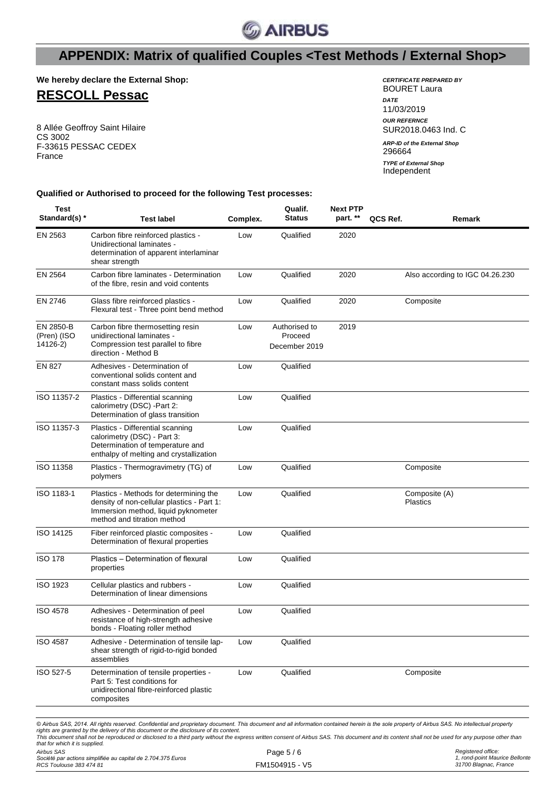

**We hereby declare the External Shop:**

### **RESCOLL Pessac**

8 Allée Geoffroy Saint Hilaire CS 3002 F-33615 PESSAC CEDEX France

| <i>CERTIFICATE PREPARED R</i> Y<br>BOURET Laura |
|-------------------------------------------------|
| <b>DATF</b><br>11/03/2019                       |
| <b>OUR REFERNCE</b><br>SUR2018.0463 Ind. C      |
| <b>ARP-ID of the External Shop</b><br>296664    |
| <b>TYPE of External Shop</b><br>Independent     |

#### **Qualified or Authorised to proceed for the following Test processes:**

| Test<br>Standard(s) *                | <b>Test label</b>                                                                                                                                          | Complex. | Qualif.<br><b>Status</b>                  | Next PTP<br>part. ** | QCS Ref. | Remark                           |
|--------------------------------------|------------------------------------------------------------------------------------------------------------------------------------------------------------|----------|-------------------------------------------|----------------------|----------|----------------------------------|
| EN 2563                              | Carbon fibre reinforced plastics -<br>Unidirectional laminates -<br>determination of apparent interlaminar<br>shear strength                               | Low      | Qualified                                 | 2020                 |          |                                  |
| EN 2564                              | Carbon fibre laminates - Determination<br>of the fibre, resin and void contents                                                                            | Low      | Qualified                                 | 2020                 |          | Also according to IGC 04.26.230  |
| EN 2746                              | Glass fibre reinforced plastics -<br>Flexural test - Three point bend method                                                                               | Low      | Qualified                                 | 2020                 |          | Composite                        |
| EN 2850-B<br>(Pren) (ISO<br>14126-2) | Carbon fibre thermosetting resin<br>unidirectional laminates -<br>Compression test parallel to fibre<br>direction - Method B                               | Low      | Authorised to<br>Proceed<br>December 2019 | 2019                 |          |                                  |
| <b>EN 827</b>                        | Adhesives - Determination of<br>conventional solids content and<br>constant mass solids content                                                            | Low      | Qualified                                 |                      |          |                                  |
| ISO 11357-2                          | Plastics - Differential scanning<br>calorimetry (DSC) -Part 2:<br>Determination of glass transition                                                        | Low      | Qualified                                 |                      |          |                                  |
| ISO 11357-3                          | Plastics - Differential scanning<br>calorimetry (DSC) - Part 3:<br>Determination of temperature and<br>enthalpy of melting and crystallization             | Low      | Qualified                                 |                      |          |                                  |
| ISO 11358                            | Plastics - Thermogravimetry (TG) of<br>polymers                                                                                                            | Low      | Qualified                                 |                      |          | Composite                        |
| ISO 1183-1                           | Plastics - Methods for determining the<br>density of non-cellular plastics - Part 1:<br>Immersion method, liquid pyknometer<br>method and titration method | Low      | Qualified                                 |                      |          | Composite (A)<br><b>Plastics</b> |
| ISO 14125                            | Fiber reinforced plastic composites -<br>Determination of flexural properties                                                                              | Low      | Qualified                                 |                      |          |                                  |
| <b>ISO 178</b>                       | Plastics - Determination of flexural<br>properties                                                                                                         | Low      | Qualified                                 |                      |          |                                  |
| <b>ISO 1923</b>                      | Cellular plastics and rubbers -<br>Determination of linear dimensions                                                                                      | Low      | Qualified                                 |                      |          |                                  |
| <b>ISO 4578</b>                      | Adhesives - Determination of peel<br>resistance of high-strength adhesive<br>bonds - Floating roller method                                                | Low      | Qualified                                 |                      |          |                                  |
| <b>ISO 4587</b>                      | Adhesive - Determination of tensile lap-<br>shear strength of rigid-to-rigid bonded<br>assemblies                                                          | Low      | Qualified                                 |                      |          |                                  |
| ISO 527-5                            | Determination of tensile properties -<br>Part 5: Test conditions for<br>unidirectional fibre-reinforced plastic<br>composites                              | Low      | Qualified                                 |                      |          | Composite                        |
|                                      |                                                                                                                                                            |          |                                           |                      |          |                                  |

© Airbus SAS, 2014. All rights reserved. Confidential and proprietary document. This document and all information contained herein is the sole property of Airbus SAS. No intellectual property rights are granted by the delivery of this document or the disclosure of its content.<br>This document shall not be reproduced or disclosed to a third party without the express written consent of Airbus SAS. This document and